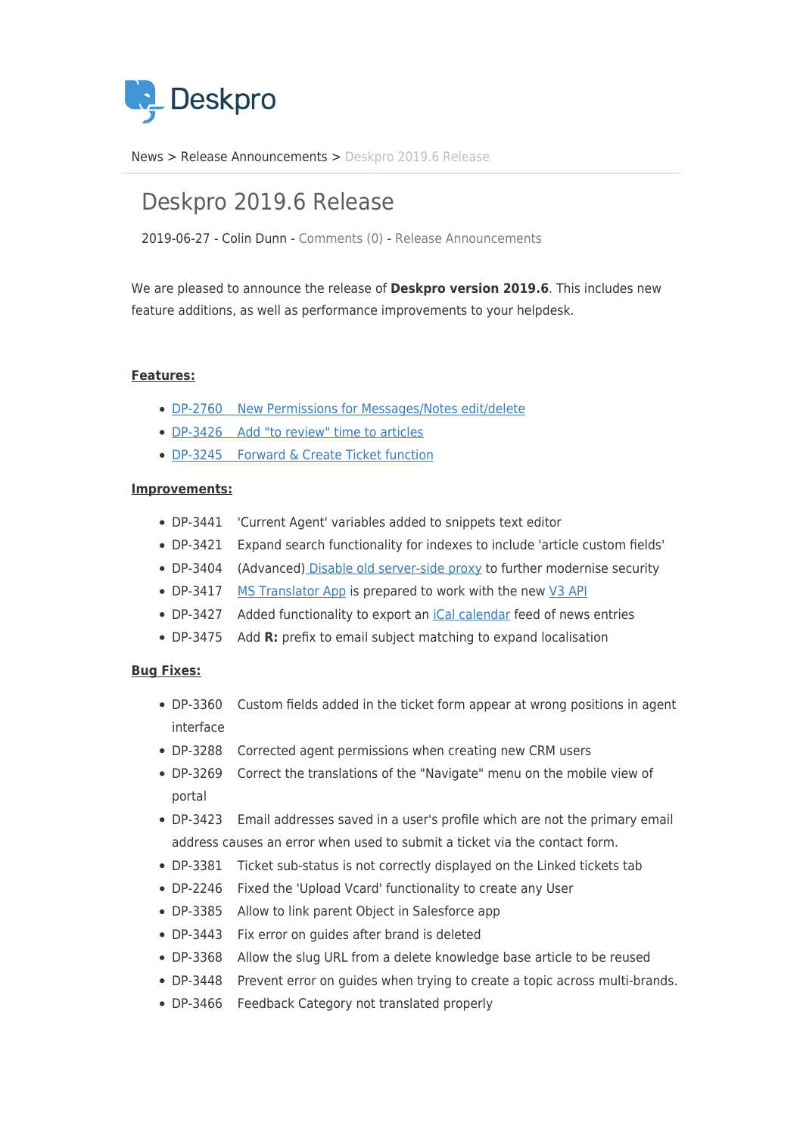

[News](https://support.deskpro.com/zh-CN/news) > [Release Announcements](https://support.deskpro.com/zh-CN/news/release-announcements) > [Deskpro 2019.6 Release](https://support.deskpro.com/zh-CN/news/posts/deskpro-2019-6-release)

## Deskpro 2019.6 Release

2019-06-27 - Colin Dunn - [Comments \(0\)](#page--1-0) - [Release Announcements](https://support.deskpro.com/zh-CN/news/release-announcements)

We are pleased to announce the release of **Deskpro version 2019.6**. This includes new feature additions, as well as performance improvements to your helpdesk.

## **Features:**

- [DP-2760 New Permissions for Messages/Notes edit/delete](https://support.deskpro.com/en-GB/news/posts/improved-agent-permissions-delineate-access-to-notes-and-messages)
- [DP-3426 Add "to review" time to articles](https://support.deskpro.com/en-GB/news/posts/set-an-automatic-review-expiry-date-for-article-content)
- [DP-3245 Forward & Create Ticket function](https://support.deskpro.com/en-GB/news/posts/forward-and-create-new-linked-ticket)

## **Improvements:**

- DP-3441 'Current Agent' variables added to snippets text editor
- DP-3421 Expand search functionality for indexes to include 'article custom fields'
- DP-3404 (Advanced[\) Disable old server-side proxy](https://support.deskpro.com/en-GB/kb/articles/enable-disable-the-legacy-proxy-api) to further modernise security
- DP-3417 [MS Translator App](https://www.deskpro.com/apps/ms-translator/) is prepared to work with the new [V3 API](https://www.microsoft.com/en-us/translator/business/hub/)
- DP-3427 Added functionality to export an [iCal calendar](https://icalendar.org/) feed of news entries
- DP-3475 Add **R:** prefix to email subject matching to expand localisation

## **Bug Fixes:**

- DP-3360 Custom fields added in the ticket form appear at wrong positions in agent interface
- DP-3288 Corrected agent permissions when creating new CRM users
- DP-3269 Correct the translations of the "Navigate" menu on the mobile view of portal
- DP-3423 Email addresses saved in a user's profile which are not the primary email address causes an error when used to submit a ticket via the contact form.
- DP-3381 Ticket sub-status is not correctly displayed on the Linked tickets tab
- DP-2246 Fixed the 'Upload Vcard' functionality to create any User
- DP-3385 Allow to link parent Object in Salesforce app
- DP-3443 Fix error on guides after brand is deleted
- DP-3368 Allow the slug URL from a delete knowledge base article to be reused
- DP-3448 Prevent error on guides when trying to create a topic across multi-brands.
- DP-3466 Feedback Category not translated properly